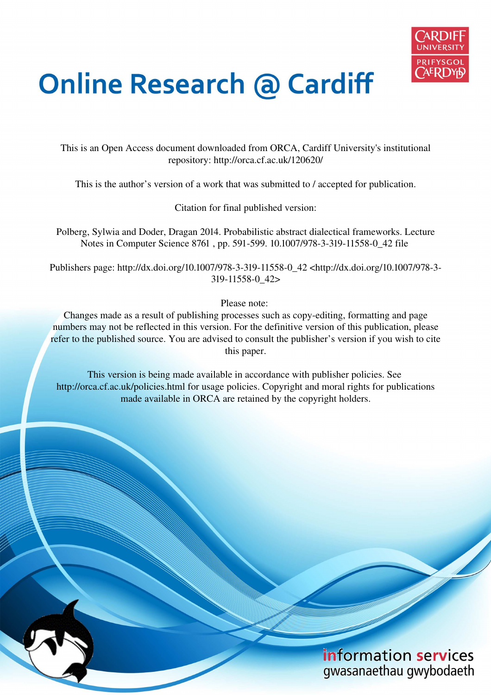

# **Online Research @ Cardiff**

This is an Open Access document downloaded from ORCA, Cardiff University's institutional repository: http://orca.cf.ac.uk/120620/

This is the author's version of a work that was submitted to / accepted for publication.

Citation for final published version:

Polberg, Sylwia and Doder, Dragan 2014. Probabilistic abstract dialectical frameworks. Lecture Notes in Computer Science 8761 , pp. 591-599. 10.1007/978-3-319-11558-0\_42 file

Publishers page: http://dx.doi.org/10.1007/978-3-319-11558-0\_42 <http://dx.doi.org/10.1007/978-3- 319-11558-0\_42>

Please note:

Changes made as a result of publishing processes such as copy-editing, formatting and page numbers may not be reflected in this version. For the definitive version of this publication, please refer to the published source. You are advised to consult the publisher's version if you wish to cite this paper.

This version is being made available in accordance with publisher policies. See http://orca.cf.ac.uk/policies.html for usage policies. Copyright and moral rights for publications made available in ORCA are retained by the copyright holders.

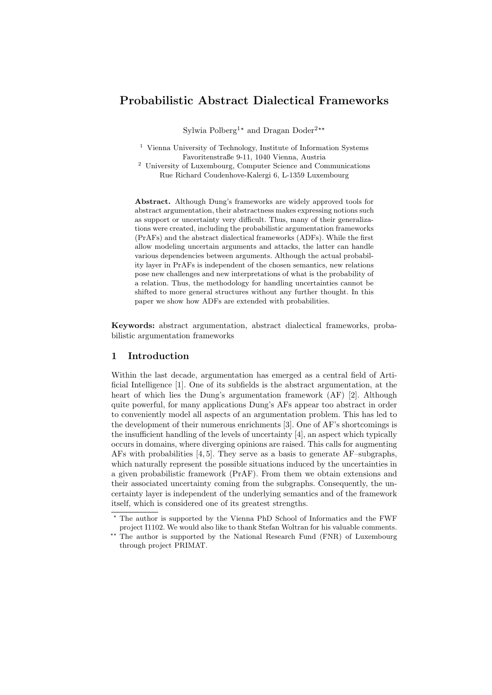## Probabilistic Abstract Dialectical Frameworks

Sylwia Polberg<sup>1</sup><sup>★</sup> and Dragan Doder<sup>2★★</sup>

<sup>1</sup> Vienna University of Technology, Institute of Information Systems Favoritenstraße 9-11, 1040 Vienna, Austria

<sup>2</sup> University of Luxembourg, Computer Science and Communications Rue Richard Coudenhove-Kalergi 6, L-1359 Luxembourg

Abstract. Although Dung's frameworks are widely approved tools for abstract argumentation, their abstractness makes expressing notions such as support or uncertainty very difficult. Thus, many of their generalizations were created, including the probabilistic argumentation frameworks (PrAFs) and the abstract dialectical frameworks (ADFs). While the first allow modeling uncertain arguments and attacks, the latter can handle various dependencies between arguments. Although the actual probability layer in PrAFs is independent of the chosen semantics, new relations pose new challenges and new interpretations of what is the probability of a relation. Thus, the methodology for handling uncertainties cannot be shifted to more general structures without any further thought. In this paper we show how ADFs are extended with probabilities.

Keywords: abstract argumentation, abstract dialectical frameworks, probabilistic argumentation frameworks

#### 1 Introduction

Within the last decade, argumentation has emerged as a central field of Artificial Intelligence [1]. One of its subfields is the abstract argumentation, at the heart of which lies the Dung's argumentation framework (AF) [2]. Although quite powerful, for many applications Dung's AFs appear too abstract in order to conveniently model all aspects of an argumentation problem. This has led to the development of their numerous enrichments [3]. One of AF's shortcomings is the insufficient handling of the levels of uncertainty [4], an aspect which typically occurs in domains, where diverging opinions are raised. This calls for augmenting AFs with probabilities  $[4, 5]$ . They serve as a basis to generate AF–subgraphs, which naturally represent the possible situations induced by the uncertainties in a given probabilistic framework (PrAF). From them we obtain extensions and their associated uncertainty coming from the subgraphs. Consequently, the uncertainty layer is independent of the underlying semantics and of the framework itself, which is considered one of its greatest strengths.

<sup>⋆</sup> The author is supported by the Vienna PhD School of Informatics and the FWF project I1102. We would also like to thank Stefan Woltran for his valuable comments.

<sup>&</sup>lt;sup>\*\*</sup> The author is supported by the National Research Fund (FNR) of Luxembourg through project PRIMAT.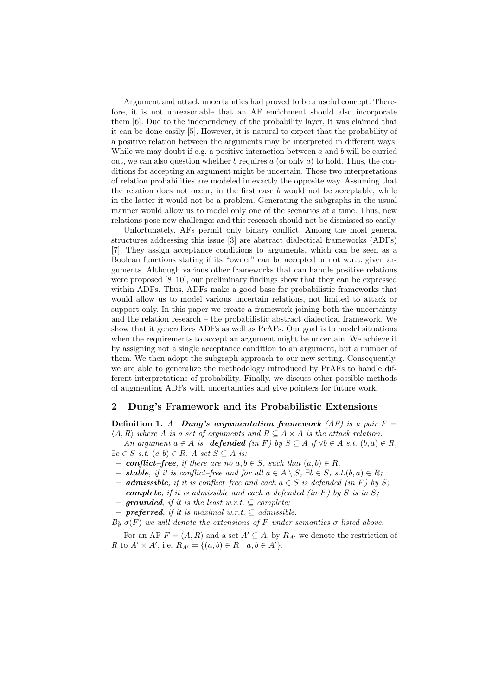Argument and attack uncertainties had proved to be a useful concept. Therefore, it is not unreasonable that an AF enrichment should also incorporate them [6]. Due to the independency of the probability layer, it was claimed that it can be done easily [5]. However, it is natural to expect that the probability of a positive relation between the arguments may be interpreted in different ways. While we may doubt if e.g. a positive interaction between  $a$  and  $b$  will be carried out, we can also question whether b requires  $a$  (or only  $a$ ) to hold. Thus, the conditions for accepting an argument might be uncertain. Those two interpretations of relation probabilities are modeled in exactly the opposite way. Assuming that the relation does not occur, in the first case  $b$  would not be acceptable, while in the latter it would not be a problem. Generating the subgraphs in the usual manner would allow us to model only one of the scenarios at a time. Thus, new relations pose new challenges and this research should not be dismissed so easily.

Unfortunately, AFs permit only binary conflict. Among the most general structures addressing this issue [3] are abstract dialectical frameworks (ADFs) [7]. They assign acceptance conditions to arguments, which can be seen as a Boolean functions stating if its "owner" can be accepted or not w.r.t. given arguments. Although various other frameworks that can handle positive relations were proposed [8–10], our preliminary findings show that they can be expressed within ADFs. Thus, ADFs make a good base for probabilistic frameworks that would allow us to model various uncertain relations, not limited to attack or support only. In this paper we create a framework joining both the uncertainty and the relation research – the probabilistic abstract dialectical framework. We show that it generalizes ADFs as well as PrAFs. Our goal is to model situations when the requirements to accept an argument might be uncertain. We achieve it by assigning not a single acceptance condition to an argument, but a number of them. We then adopt the subgraph approach to our new setting. Consequently, we are able to generalize the methodology introduced by PrAFs to handle different interpretations of probability. Finally, we discuss other possible methods of augmenting ADFs with uncertainties and give pointers for future work.

#### 2 Dung's Framework and its Probabilistic Extensions

Definition 1. A Dung's argumentation framework  $AF$ ) is a pair  $F =$  $\langle A, R \rangle$  where A is a set of arguments and  $R \subseteq A \times A$  is the attack relation.

An argument  $a \in A$  is **defended** (in F) by  $S \subseteq A$  if  $\forall b \in A$  s.t.  $(b, a) \in R$ ,  $\exists c \in S \; s.t. \; (c, b) \in R. \; A \; set \; S \subseteq A \; is:$ 

- **conflict–free**, if there are no  $a, b \in S$ , such that  $(a, b) \in R$ .
- stable, if it is conflict–free and for all  $a \in A \setminus S$ ,  $\exists b \in S$ , s.t. $(b, a) \in R$ ;
- **admissible**, if it is conflict–free and each  $a \in S$  is defended (in F) by S;
- **complete**, if it is admissible and each a defended (in F) by S is in S;
- $−$  grounded, if it is the least w.r.t.  $\subset$  complete;
- $-$  preferred, if it is maximal w.r.t.  $\subseteq$  admissible.

By  $\sigma(F)$  we will denote the extensions of F under semantics  $\sigma$  listed above.

For an AF  $F = (A, R)$  and a set  $A' \subseteq A$ , by  $R_{A'}$  we denote the restriction of R to  $A' \times A'$ , i.e.  $R_{A'} = \{(a, b) \in R \mid a, b \in A'\}.$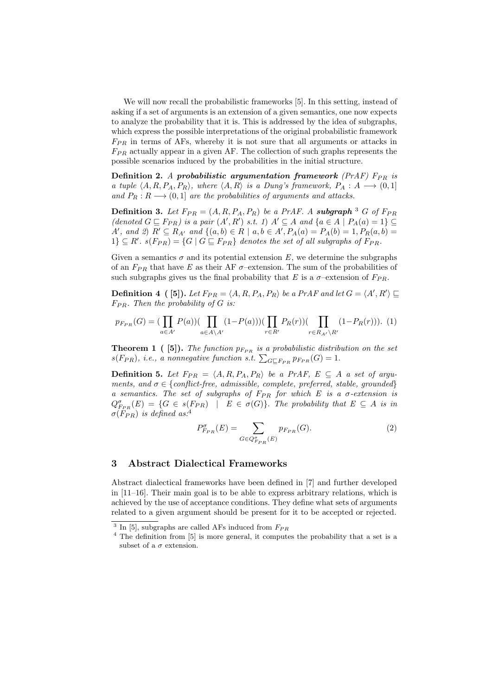We will now recall the probabilistic frameworks [5]. In this setting, instead of asking if a set of arguments is an extension of a given semantics, one now expects to analyze the probability that it is. This is addressed by the idea of subgraphs, which express the possible interpretations of the original probabilistic framework  $F_{PR}$  in terms of AFs, whereby it is not sure that all arguments or attacks in  $F_{PR}$  actually appear in a given AF. The collection of such graphs represents the possible scenarios induced by the probabilities in the initial structure.

Definition 2. A probabilistic argumentation framework ( $PrAF$ )  $F_{PR}$  is a tuple  $\langle A, R, P_A, P_R \rangle$ , where  $\langle A, R \rangle$  is a Dung's framework,  $P_A : A \longrightarrow (0, 1]$ and  $P_R: R \longrightarrow (0,1]$  are the probabilities of arguments and attacks.

**Definition 3.** Let  $F_{PR} = (A, R, P_A, P_R)$  be a PrAF. A subgraph <sup>3</sup> G of  $F_{PR}$ (denoted  $G \subseteq F_{PR}$ ) is a pair  $(A', R')$  s.t. 1)  $A' \subseteq A$  and  $\{a \in A \mid P_A(a) = 1\} \subseteq$ A', and 2)  $R' \subseteq R_{A'}$  and  $\{(a,b) \in R \mid a,b \in A', P_A(a) = P_A(b) = 1, P_R(a,b) =$  $1\} \subseteq R'$ .  $s(F_{PR}) = \{G \mid G \sqsubseteq F_{PR}\}$  denotes the set of all subgraphs of  $F_{PR}$ .

Given a semantics  $\sigma$  and its potential extension E, we determine the subgraphs of an  $F_{PR}$  that have E as their AF  $\sigma$ -extension. The sum of the probabilities of such subgraphs gives us the final probability that E is a  $\sigma$ -extension of  $F_{PR}$ .

**Definition 4** ([5]). Let  $F_{PR} = \langle A, R, P_A, P_R \rangle$  be a PrAF and let  $G = \langle A', R' \rangle \sqsubseteq$  $F_{PR}$ . Then the probability of G is:

$$
p_{F_{PR}}(G) = (\prod_{a \in A'} P(a)) (\prod_{a \in A \setminus A'} (1 - P(a))) (\prod_{r \in R'} P_R(r)) (\prod_{r \in R_{A'} \setminus R'} (1 - P_R(r))). \tag{1}
$$

**Theorem 1** ( [5]). The function  $p_{FPR}$  is a probabilistic distribution on the set  $s(F_{PR}),$  i.e., a nonnegative function s.t.  $\sum_{G \sqsubseteq F_{PR}} p_{F_{PR}}(G) = 1$ .

**Definition 5.** Let  $F_{PR} = \langle A, R, P_A, P_R \rangle$  be a PrAF,  $E \subseteq A$  a set of arguments, and  $\sigma \in \{conflict-free, admissible, complete, preferred, stable, grounded\}$ a semantics. The set of subgraphs of  $F_{PR}$  for which E is a  $\sigma$ -extension is  $Q_{F_{PR}}^{\sigma}(E) = \{G \in s(F_{PR}) \mid E \in \sigma(G)\}.$  The probability that  $E \subseteq A$  is in  $\sigma(\hat{F}_{PR})$  is defined as:<sup>4</sup>

$$
P_{F_{PR}}^{\sigma}(E) = \sum_{G \in Q_{F_{PR}}^{\sigma}(E)} p_{F_{PR}}(G). \tag{2}
$$

### 3 Abstract Dialectical Frameworks

Abstract dialectical frameworks have been defined in [7] and further developed in [11–16]. Their main goal is to be able to express arbitrary relations, which is achieved by the use of acceptance conditions. They define what sets of arguments related to a given argument should be present for it to be accepted or rejected.

<sup>&</sup>lt;sup>3</sup> In [5], subgraphs are called AFs induced from  $F_{PR}$ 

<sup>4</sup> The definition from [5] is more general, it computes the probability that a set is a subset of a  $\sigma$  extension.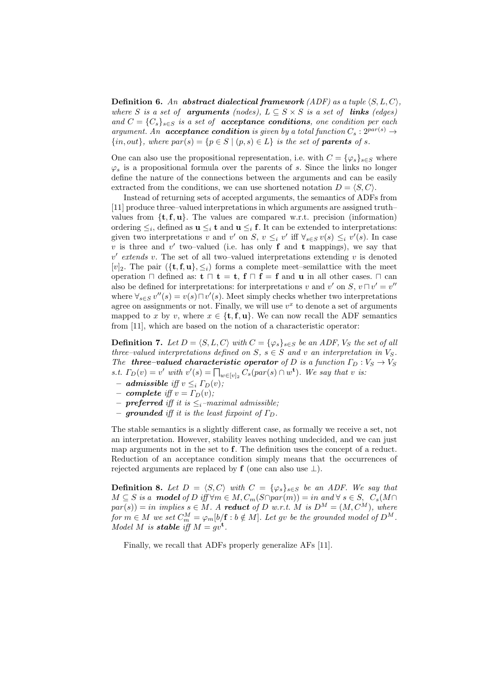**Definition 6.** An abstract dialectical framework (ADF) as a tuple  $\langle S, L, C \rangle$ . where S is a set of **arguments** (nodes),  $L \subseteq S \times S$  is a set of **links** (edges) and  $C = \{C_s\}_{s \in S}$  is a set of **acceptance conditions**, one condition per each argument. An **acceptance condition** is given by a total function  $C_s : 2^{par(s)} \rightarrow$  $\{in, out\}$ , where  $par(s) = \{p \in S \mid (p, s) \in L\}$  is the set of **parents** of s.

One can also use the propositional representation, i.e. with  $C = {\{\varphi_s\}_{s \in S}}$  where  $\varphi_s$  is a propositional formula over the parents of s. Since the links no longer define the nature of the connections between the arguments and can be easily extracted from the conditions, we can use shortened notation  $D = \langle S, C \rangle$ .

Instead of returning sets of accepted arguments, the semantics of ADFs from [11] produce three–valued interpretations in which arguments are assigned truth– values from  $\{t, f, u\}$ . The values are compared w.r.t. precision (information) ordering  $\leq_i$ , defined as  $\mathbf{u} \leq_i \mathbf{t}$  and  $\mathbf{u} \leq_i \mathbf{f}$ . It can be extended to interpretations: given two interpretations v and v' on S,  $v \leq_i v'$  iff  $\forall_{s \in S} v(s) \leq_i v'(s)$ . In case v is three and  $v'$  two-valued (i.e. has only f and t mappings), we say that  $v'$  extends v. The set of all two-valued interpretations extending v is denoted  $[v]_2$ . The pair  $({\mathbf{t}, \mathbf{f}, \mathbf{u}}, *)*$  forms a complete meet–semilattice with the meet operation  $\Box$  defined as:  $\mathbf{t} \Box \mathbf{t} = \mathbf{t}$ ,  $\mathbf{f} \Box \mathbf{f} = \mathbf{f}$  and u in all other cases.  $\Box$  can also be defined for interpretations: for interpretations v and v' on  $S, v \sqcap v' = v''$ where  $\forall_{s \in S} v''(s) = v(s) \sqcap v'(s)$ . Meet simply checks whether two interpretations agree on assignments or not. Finally, we will use  $v^x$  to denote a set of arguments mapped to x by v, where  $x \in \{t, f, u\}$ . We can now recall the ADF semantics from [11], which are based on the notion of a characteristic operator:

**Definition 7.** Let  $D = \langle S, L, C \rangle$  with  $C = {\varphi_s}_{s \in S}$  be an ADF,  $V_S$  the set of all three–valued interpretations defined on S,  $s \in S$  and v an interpretation in  $V_S$ . The **three–valued characteristic operator** of D is a function  $\Gamma_D : V_S \to V_S$ s.t.  $\Gamma_D(v) = v'$  with  $v'(s) = \prod_{w \in [v]_2} C_s(par(s) \cap w^t)$ . We say that v is:

- admissible iff  $v \leq_i \Gamma_D(v)$ ;
- complete iff  $v = \Gamma_D(v)$ ;
- **preferred** iff it is  $\leq_i$ -maximal admissible;
- $-$  grounded iff it is the least fixpoint of  $\Gamma_D$ .

The stable semantics is a slightly different case, as formally we receive a set, not an interpretation. However, stability leaves nothing undecided, and we can just map arguments not in the set to f. The definition uses the concept of a reduct. Reduction of an acceptance condition simply means that the occurrences of rejected arguments are replaced by f (one can also use  $\perp$ ).

**Definition 8.** Let  $D = \langle S, C \rangle$  with  $C = {\varphi_s}_{s \in S}$  be an ADF. We say that  $M \subseteq S$  is a **model** of D iff  $\forall m \in M$ ,  $C_m(S \cap par(m)) = in$  and  $\forall s \in S$ ,  $C_s(M \cap$  $par(s) = in \implies s \in M$ . A reduct of D w.r.t. M is  $D^M = (M, C^M)$ , where for  $m \in M$  we set  $C_m^M = \varphi_m [b/\mathbf{f} : b \notin M]$ . Let  $gv$  be the grounded model of  $D^M$ . Model M is **stable** if  $M = gv^{\mathbf{t}}$ .

Finally, we recall that ADFs properly generalize AFs [11].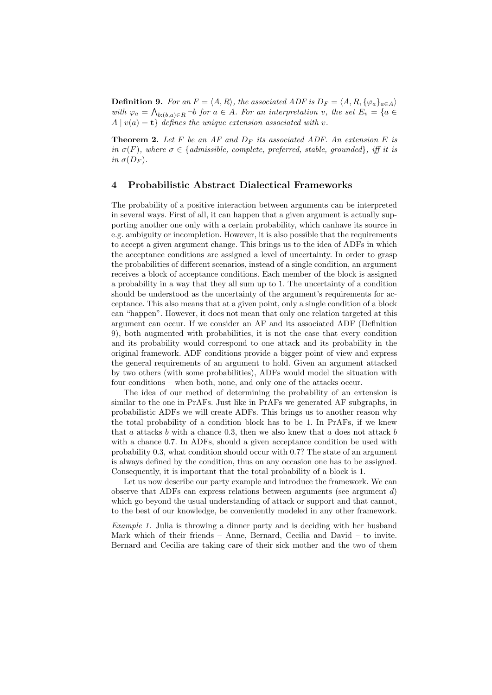**Definition 9.** For an  $F = \langle A, R \rangle$ , the associated ADF is  $D_F = \langle A, R, \{\varphi_a\}_{a \in A} \rangle$ with  $\varphi_a = \bigwedge_{b:(b,a)\in R} \neg b$  for  $a \in A$ . For an interpretation v, the set  $E_v = \{a \in A\}$  $A | v(a) = t$  defines the unique extension associated with v.

**Theorem 2.** Let F be an AF and  $D_F$  its associated ADF. An extension E is in  $\sigma(F)$ , where  $\sigma \in \{admissible, complete, preferred, stable, grounded\}$ , iff it is in  $\sigma(D_F)$ .

### 4 Probabilistic Abstract Dialectical Frameworks

The probability of a positive interaction between arguments can be interpreted in several ways. First of all, it can happen that a given argument is actually supporting another one only with a certain probability, which canhave its source in e.g. ambiguity or incompletion. However, it is also possible that the requirements to accept a given argument change. This brings us to the idea of ADFs in which the acceptance conditions are assigned a level of uncertainty. In order to grasp the probabilities of different scenarios, instead of a single condition, an argument receives a block of acceptance conditions. Each member of the block is assigned a probability in a way that they all sum up to 1. The uncertainty of a condition should be understood as the uncertainty of the argument's requirements for acceptance. This also means that at a given point, only a single condition of a block can "happen". However, it does not mean that only one relation targeted at this argument can occur. If we consider an AF and its associated ADF (Definition 9), both augmented with probabilities, it is not the case that every condition and its probability would correspond to one attack and its probability in the original framework. ADF conditions provide a bigger point of view and express the general requirements of an argument to hold. Given an argument attacked by two others (with some probabilities), ADFs would model the situation with four conditions – when both, none, and only one of the attacks occur.

The idea of our method of determining the probability of an extension is similar to the one in PrAFs. Just like in PrAFs we generated AF subgraphs, in probabilistic ADFs we will create ADFs. This brings us to another reason why the total probability of a condition block has to be 1. In PrAFs, if we knew that a attacks b with a chance 0.3, then we also knew that a does not attack b with a chance 0.7. In ADFs, should a given acceptance condition be used with probability 0.3, what condition should occur with 0.7? The state of an argument is always defined by the condition, thus on any occasion one has to be assigned. Consequently, it is important that the total probability of a block is 1.

Let us now describe our party example and introduce the framework. We can observe that ADFs can express relations between arguments (see argument  $d$ ) which go beyond the usual understanding of attack or support and that cannot, to the best of our knowledge, be conveniently modeled in any other framework.

Example 1. Julia is throwing a dinner party and is deciding with her husband Mark which of their friends – Anne, Bernard, Cecilia and David – to invite. Bernard and Cecilia are taking care of their sick mother and the two of them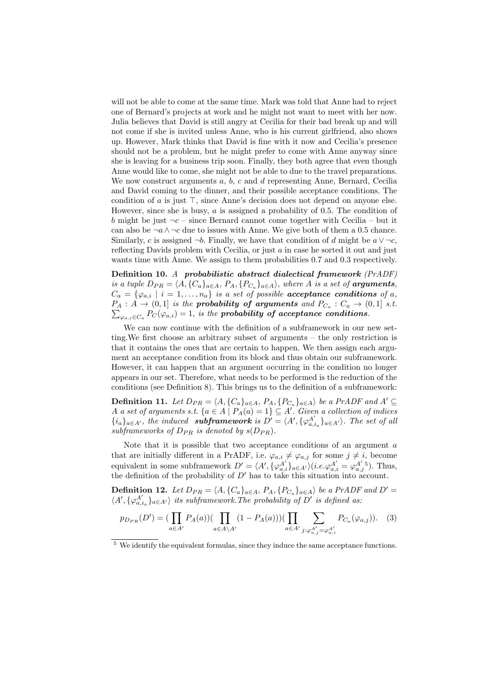will not be able to come at the same time. Mark was told that Anne had to reject one of Bernard's projects at work and he might not want to meet with her now. Julia believes that David is still angry at Cecilia for their bad break up and will not come if she is invited unless Anne, who is his current girlfriend, also shows up. However, Mark thinks that David is fine with it now and Cecilia's presence should not be a problem, but he might prefer to come with Anne anyway since she is leaving for a business trip soon. Finally, they both agree that even though Anne would like to come, she might not be able to due to the travel preparations. We now construct arguments  $a, b, c$  and  $d$  representing Anne, Bernard, Cecilia and David coming to the dinner, and their possible acceptance conditions. The condition of a is just ⊤, since Anne's decision does not depend on anyone else. However, since she is busy, a is assigned a probability of 0.5. The condition of b might be just  $\neg c$  – since Bernard cannot come together with Cecilia – but it can also be  $\neg a \wedge \neg c$  due to issues with Anne. We give both of them a 0.5 chance. Similarly, c is assigned  $\neg b$ . Finally, we have that condition of d might be  $a \vee \neg c$ . reflecting Davids problem with Cecilia, or just  $a$  in case he sorted it out and just wants time with Anne. We assign to them probabilities 0.7 and 0.3 respectively.

Definition 10. A probabilistic abstract dialectical framework (PrADF) is a tuple  $D_{PR} = \langle A, \{C_a\}_{a \in A}, P_A, \{P_{C_a}\}_{a \in A}\rangle$ , where A is a set of **arguments**,  $C_a = \{ \varphi_{a,i} \mid i = 1, \ldots, n_a \}$  is a set of possible **acceptance conditions** of a,  $P_A: A \rightarrow (0,1]$  is the probability of arguments and  $P_{C_a}: C_a \rightarrow (0,1]$  s.t.  $P_A: A \to (0,1]$  is the **probability of arguments** and  $P_{C_a}: C_a \to (0,1]$  s.t.<br> $\sum_{\varphi_{a,i} \in C_a} P_C(\varphi_{a,i}) = 1$ , is the **probability of acceptance conditions**.

We can now continue with the definition of a subframework in our new setting.We first choose an arbitrary subset of arguments – the only restriction is that it contains the ones that are certain to happen. We then assign each argument an acceptance condition from its block and thus obtain our subframework. However, it can happen that an argument occurring in the condition no longer appears in our set. Therefore, what needs to be performed is the reduction of the conditions (see Definition 8). This brings us to the definition of a subframework:

**Definition 11.** Let  $D_{PR} = \langle A, \{C_a\}_{a \in A}, P_A, \{P_{C_a}\}_{a \in A} \rangle$  be a PrADF and  $A' \subseteq$ A a set of arguments s.t.  $\{a \in A \mid P_A(a) = 1\} \subseteq A'$ . Given a collection of indices  ${i_a}_{a \in A'}$ , the induced **subframework** is  $D' = \langle A', \{\varphi_a^A\} \rangle$  $\{A'_{a,i_a}\}_{a \in A'}\rangle$ . The set of all subframeworks of  $D_{PR}$  is denoted by  $s(D_{PR})$ .

Note that it is possible that two acceptance conditions of an argument a that are initially different in a PrADF, i.e.  $\varphi_{a,i} \neq \varphi_{a,j}$  for some  $j \neq i$ , become equivalent in some subframework  $D' = \langle A', \{\varphi_{a,i}^{A'}\}_{a \in A'} \rangle (i.e. \varphi_{a,i}^{A'} = \varphi_{a,i}^{A'}$  $\binom{A'}{a,j}$ . Thus, the definition of the probability of  $D'$  has to take this situation into account.

**Definition 12.** Let  $D_{PR} = \langle A, \{C_a\}_{a \in A}, P_A, \{P_{C_a}\}_{a \in A} \rangle$  be a PrADF and D' =  $\langle A', \{\varphi_{a,i_a}^{A'}\}_{a \in A'}\rangle$  its subframework. The probability of D' is defined as:

$$
p_{D_{PR}}(D') = (\prod_{a \in A'} P_A(a)) (\prod_{a \in A \setminus A'} (1 - P_A(a))) (\prod_{a \in A'} \sum_{j: \varphi_{a,j}^{A'} = \varphi_{a,i}^{A'}} P_{C_a}(\varphi_{a,j})).
$$
 (3)

<sup>5</sup> We identify the equivalent formulas, since they induce the same acceptance functions.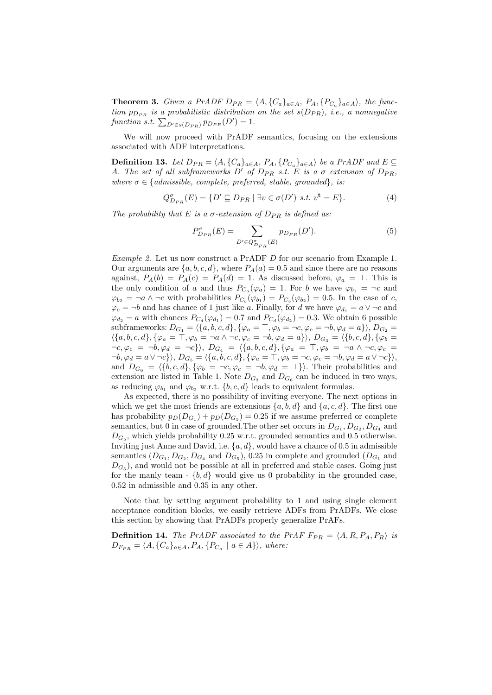**Theorem 3.** Given a PrADF  $D_{PR} = \langle A, \{C_a\}_{a \in A}, P_A, \{P_{C_a}\}_{a \in A} \rangle$ , the function  $p_{D_{PR}}$  is a probabilistic distribution on the set  $s(D_{PR})$ , i.e., a nonnegative function s.t.  $\sum_{D' \in s(D_{PR})} p_{D_{PR}}(D') = 1$ .

We will now proceed with PrADF semantics, focusing on the extensions associated with ADF interpretations.

**Definition 13.** Let  $D_{PR} = \langle A, \{C_a\}_{a \in A}, P_A, \{P_{C_a}\}_{a \in A} \rangle$  be a PrADF and  $E \subseteq$ A. The set of all subframeworks D' of  $D_{PR}$  s.t. E is a  $\sigma$  extension of  $D_{PR}$ , where  $\sigma \in \{admissible, complete, preferred, stable, grounded\}, is:$ 

$$
Q_{D_{PR}}^{\sigma}(E) = \{ D' \sqsubseteq D_{PR} \mid \exists v \in \sigma(D') \text{ s.t. } v^{\mathbf{t}} = E \}. \tag{4}
$$

The probability that E is a  $\sigma$ -extension of  $D_{PR}$  is defined as:

$$
P_{D_{PR}}^{\sigma}(E) = \sum_{D' \in Q_{D_{PR}}^{\sigma}(E)} p_{D_{PR}}(D'). \tag{5}
$$

Example 2. Let us now construct a PrADF D for our scenario from Example 1. Our arguments are  $\{a, b, c, d\}$ , where  $P_A(a) = 0.5$  and since there are no reasons against,  $P_A(b) = P_A(c) = P_A(d) = 1$ . As discussed before,  $\varphi_a = \top$ . This is the only condition of a and thus  $P_{C_a}(\varphi_a) = 1$ . For b we have  $\varphi_{b_1} = \neg c$  and  $\varphi_{b_2} = \neg a \wedge \neg c$  with probabilities  $P_{C_b}(\varphi_{b_1}) = P_{C_b}(\varphi_{b_2}) = 0.5$ . In the case of c,  $\varphi_c = \neg b$  and has chance of 1 just like a. Finally, for d we have  $\varphi_{d_1} = a \vee \neg c$  and  $\varphi_{d_2} = a$  with chances  $P_{C_d}(\varphi_{d_1}) = 0.7$  and  $P_{C_d}(\varphi_{d_2}) = 0.3$ . We obtain 6 possible subframeworks:  $D_{G_1} = \langle \{a, b, c, d\}, \{\varphi_a = \top, \varphi_b = \neg c, \varphi_c = \neg b, \varphi_d = a\} \rangle, D_{G_2}$  $\langle \{a, b, c, d\}, \{\varphi_a = \top, \varphi_b = \neg a \wedge \neg c, \varphi_c = \neg b, \varphi_d = a\} \rangle, \ D_{G_3} = \langle \{b, c, d\}, \{\varphi_b = \top, \varphi_d = \top, \varphi_d = a\} \rangle$  $\neg c, \varphi_c = \neg b, \varphi_d = \neg c \},\ D_{G_4} = \langle \{a, b, c, d\}, \{ \varphi_a = \top, \varphi_b = \neg a \land \neg c, \varphi_c = \top, \varphi_d = \top, \varphi_d = \top, \varphi_d = \top, \varphi_d = \top, \varphi_d = \top, \varphi_d = \top, \varphi_d = \top, \varphi_d = \top, \varphi_d = \top, \varphi_d = \top, \varphi_d = \top, \varphi_d = \top, \varphi_d = \top, \varphi_d = \top, \varphi_d = \top, \varphi_d = \top, \varphi_d = \top, \varphi_d = \top,$  $\neg b, \varphi_d = a \vee \neg c \},\ D_{G_5} = \langle \{a, b, c, d\}, \{\varphi_a = \top, \varphi_b = \neg c, \varphi_c = \neg b, \varphi_d = a \vee \neg c\} \rangle,$ and  $D_{G_6} = \langle \{b, c, d\}, \{\varphi_b = \neg c, \varphi_c = \neg b, \varphi_d = \bot\} \rangle$ . Their probabilities and extension are listed in Table 1. Note  $D_{G_3}$  and  $D_{G_6}$  can be induced in two ways, as reducing  $\varphi_{b_1}$  and  $\varphi_{b_2}$  w.r.t.  $\{b, c, d\}$  leads to equivalent formulas.

As expected, there is no possibility of inviting everyone. The next options in which we get the most friends are extensions  $\{a, b, d\}$  and  $\{a, c, d\}$ . The first one has probability  $p_D(D_{G_1}) + p_D(D_{G_5}) = 0.25$  if we assume preferred or complete semantics, but 0 in case of grounded. The other set occurs in  $D_{G_1}, D_{G_2}, D_{G_4}$  and  $D_{G_5}$ , which yields probability 0.25 w.r.t. grounded semantics and 0.5 otherwise. Inviting just Anne and David, i.e.  $\{a, d\}$ , would have a chance of 0.5 in admissible semantics  $(D_{G_1}, D_{G_2}, D_{G_4}$  and  $D_{G_5}$ ), 0.25 in complete and grounded  $(D_{G_1}$  and  $D_{G_5}$ ), and would not be possible at all in preferred and stable cases. Going just for the manly team -  $\{b, d\}$  would give us 0 probability in the grounded case, 0.52 in admissible and 0.35 in any other.

Note that by setting argument probability to 1 and using single element acceptance condition blocks, we easily retrieve ADFs from PrADFs. We close this section by showing that PrADFs properly generalize PrAFs.

**Definition 14.** The PrADF associated to the PrAF  $F_{PR} = \langle A, R, P_A, P_R \rangle$  is  $D_{F_{PR}} = \langle A, \{C_a\}_{a \in A}, P_A, \{P_{C_a} \mid a \in A\} \rangle$ , where: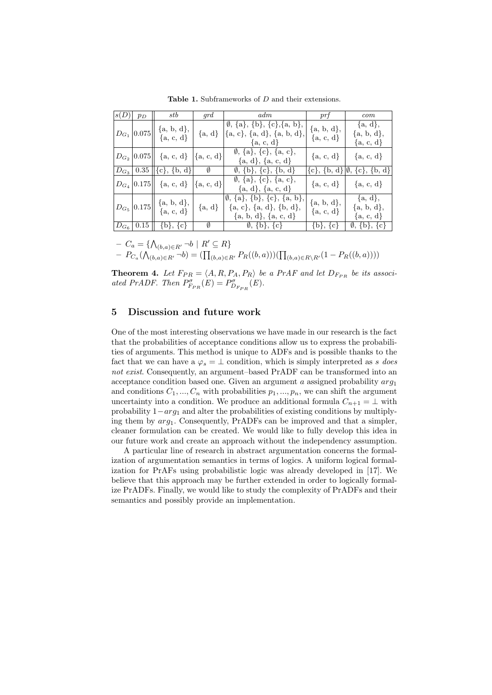| $s(D)$ $p_D$     | stb                                                                                                                                                 | qrd           | $\hspace{1cm} adm$                                                                                 | prf                         | com                                              |
|------------------|-----------------------------------------------------------------------------------------------------------------------------------------------------|---------------|----------------------------------------------------------------------------------------------------|-----------------------------|--------------------------------------------------|
|                  | $D_{G_1}\Big 0.075\Big \Big \begin{array}{cc} \{\mathrm{a},\,\mathrm{b},\,\mathrm{d}\},\ \{\mathrm{a},\,\mathrm{c},\,\mathrm{d}\} \end{array}\Big $ | $\{a, d\}$    | $\emptyset$ , {a}, {b}, {c}, {a, b},<br>${a, c}, {a, d}, {a, b, d},$<br>$\{a, c, d\}$              | ${a, b, d},$<br>${a, c, d}$ | $\{a, d\},\$<br>$\{a, b, d\},\$<br>$\{a, c, d\}$ |
|                  | $D_{G_2}$ [0.075] {a, c, d}                                                                                                                         | $\{a, c, d\}$ | $\emptyset$ , {a}, {c}, {a, c},<br>${a, d}, {a, c, d}$                                             | ${a, c, d}$                 | ${a, c, d}$                                      |
|                  | $D_{G_3}$   0.35   {c}, {b, d}  $\emptyset$                                                                                                         |               | $\emptyset$ , {b}, {c}, {b, d}                                                                     |                             | ${c}, {b, d} \emptyset, {c}, {b, d}$             |
|                  | $D_{G_4}$ [0.175] {a, c, d}                                                                                                                         | $\{a, c, d\}$ | $\emptyset$ , {a}, {c}, {a, c},<br>${a, d}, {a, c, d}$                                             | ${a, c, d}$                 | ${a, c, d}$                                      |
|                  | $D_{G_5}\left 0.175\right \left \ \frac{\{\rm a,\ b,\ d\}}{\{\rm a,\ c,\ d\}}\right $                                                               | ${a, d}$      | $\emptyset$ , {a}, {b}, {c}, {a, b},<br>$\{a, c\}, \{a, d\}, \{b, d\},\$<br>${a, b, d}, {a, c, d}$ | ${a, b, d},$<br>${a, c, d}$ | $\{a, d\},\$<br>$\{a, b, d\},\$<br>${a, c, d}$   |
| $D_{G_6}$   0.15 | $\{b\}, \{c\}$                                                                                                                                      |               | $\emptyset$ $\emptyset$ , $\{b\}$ , $\{c\}$                                                        | $\{b\}, \{c\}$              | $\emptyset$ , {b}, {c}                           |

Table 1. Subframeworks of D and their extensions.

 $- C_a = \{ \bigwedge_{(b,a) \in R'} \neg b \mid R' \subseteq R \}$ 

 $-P_{C_a}(\bigwedge_{(b,a)\in R'}\neg b)=(\prod_{(b,a)\in R'}P_R((b,a)))(\prod_{(b,a)\in R\setminus R'}(1-P_R((b,a))))$ 

**Theorem 4.** Let  $F_{PR} = \langle A, R, P_A, P_R \rangle$  be a PrAF and let  $D_{F_{PR}}$  be its associated PrADF. Then  $P^{\sigma}_{F_{PR}}(E) = P^{\sigma}_{D_{F_{PR}}}(E)$ .

#### 5 Discussion and future work

One of the most interesting observations we have made in our research is the fact that the probabilities of acceptance conditions allow us to express the probabilities of arguments. This method is unique to ADFs and is possible thanks to the fact that we can have a  $\varphi_s = \bot$  condition, which is simply interpreted as s does not exist. Consequently, an argument–based PrADF can be transformed into an acceptance condition based one. Given an argument a assigned probability  $arg_1$ and conditions  $C_1, ..., C_n$  with probabilities  $p_1, ..., p_n$ , we can shift the argument uncertainty into a condition. We produce an additional formula  $C_{n+1} = \perp$  with probability  $1 - arg_1$  and alter the probabilities of existing conditions by multiplying them by  $arq_1$ . Consequently, PrADFs can be improved and that a simpler, cleaner formulation can be created. We would like to fully develop this idea in our future work and create an approach without the independency assumption.

A particular line of research in abstract argumentation concerns the formalization of argumentation semantics in terms of logics. A uniform logical formalization for PrAFs using probabilistic logic was already developed in [17]. We believe that this approach may be further extended in order to logically formalize PrADFs. Finally, we would like to study the complexity of PrADFs and their semantics and possibly provide an implementation.